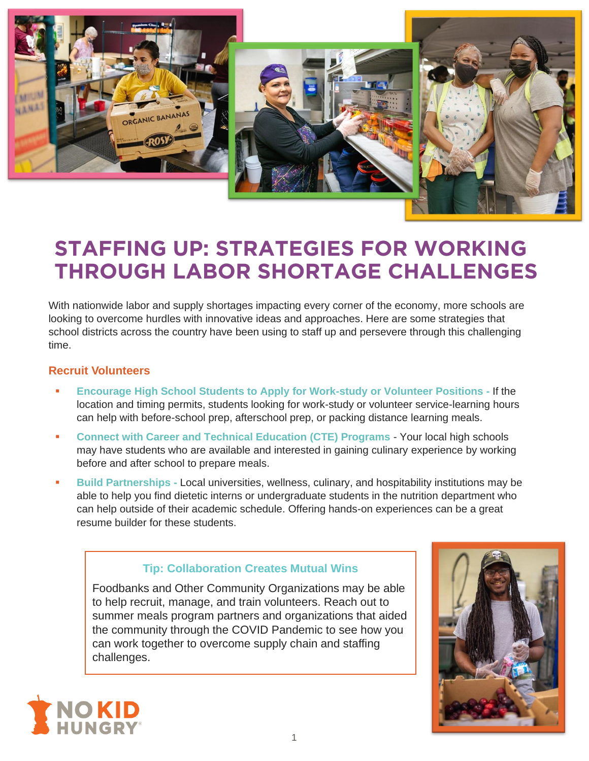

# **STAFFING UP: STRATEGIES FOR WORKING THROUGH LABOR SHORTAGE CHALLENGES**

With nationwide labor and supply shortages impacting every corner of the economy, more schools are looking to overcome hurdles with innovative ideas and approaches. Here are some strategies that school districts across the country have been using to staff up and persevere through this challenging time.

## **Recruit Volunteers**

- **Encourage High School Students to Apply for Work-study or Volunteer Positions If the** location and timing permits, students looking for work-study or volunteer service-learning hours can help with before-school prep, afterschool prep, or packing distance learning meals.
- **Connect with Career and Technical Education (CTE) Programs** Your local high schools may have students who are available and interested in gaining culinary experience by working before and after school to prepare meals.
- **Build Partnerships -** Local universities, wellness, culinary, and hospitability institutions may be able to help you find dietetic interns or undergraduate students in the nutrition department who can help outside of their academic schedule. Offering hands-on experiences can be a great resume builder for these students.

## **Tip: Collaboration Creates Mutual Wins**

Foodbanks and Other Community Organizations may be able to help recruit, manage, and train volunteers. Reach out to summer meals program partners and organizations that aided the community through the COVID Pandemic to see how you can work together to overcome supply chain and staffing challenges.



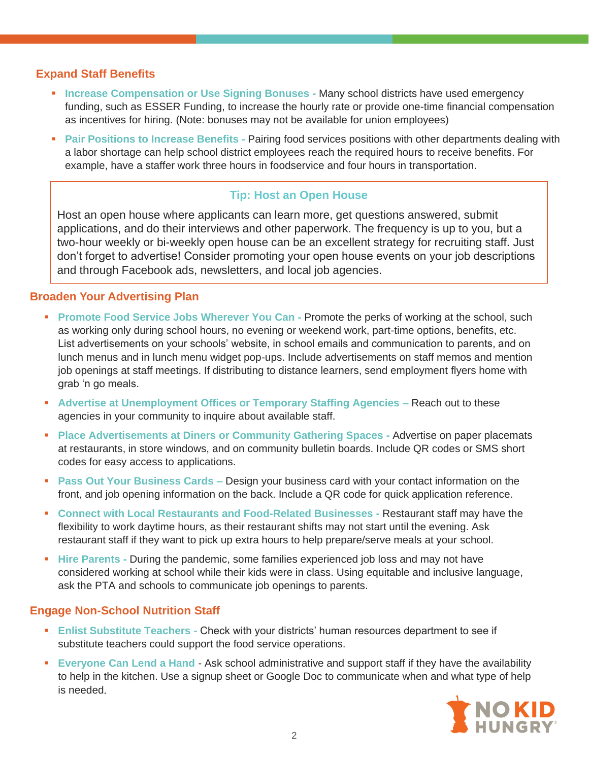#### **Expand Staff Benefits**

- **EXEDENTIFY Increase Compensation or Use Signing Bonuses Many school districts have used emergency** funding, such as ESSER Funding, to increase the hourly rate or provide one-time financial compensation as incentives for hiring. (Note: bonuses may not be available for union employees)
- **Pair Positions to Increase Benefits -** Pairing food services positions with other departments dealing with a labor shortage can help school district employees reach the required hours to receive benefits. For example, have a staffer work three hours in foodservice and four hours in transportation.

## **Tip: Host an Open House**

Host an open house where applicants can learn more, get questions answered, submit applications, and do their interviews and other paperwork. The frequency is up to you, but a two-hour weekly or bi-weekly open house can be an excellent strategy for recruiting staff. Just don't forget to advertise! Consider promoting your open house events on your job descriptions and through Facebook ads, newsletters, and local job agencies.

#### **Broaden Your Advertising Plan**

- **Promote Food Service Jobs Wherever You Can Promote the perks of working at the school, such** as working only during school hours, no evening or weekend work, part-time options, benefits, etc. List advertisements on your schools' website, in school emails and communication to parents, and on lunch menus and in lunch menu widget pop-ups. Include advertisements on staff memos and mention job openings at staff meetings. If distributing to distance learners, send employment flyers home with grab 'n go meals.
- **EXECTE:** Advertise at Unemployment Offices or Temporary Staffing Agencies Reach out to these agencies in your community to inquire about available staff.
- **Place Advertisements at Diners or Community Gathering Spaces Advertise on paper placemats** at restaurants, in store windows, and on community bulletin boards. Include QR codes or SMS short codes for easy access to applications.
- **Pass Out Your Business Cards –** Design your business card with your contact information on the front, and job opening information on the back. Include a QR code for quick application reference.
- **Connect with Local Restaurants and Food-Related Businesses -** Restaurant staff may have the flexibility to work daytime hours, as their restaurant shifts may not start until the evening. Ask restaurant staff if they want to pick up extra hours to help prepare/serve meals at your school.
- **EXTERENT A Hire Parents During the pandemic, some families experienced job loss and may not have** considered working at school while their kids were in class. Using equitable and inclusive language, ask the PTA and schools to communicate job openings to parents.

#### **Engage Non-School Nutrition Staff**

- **Enlist Substitute Teachers Check with your districts' human resources department to see if** substitute teachers could support the food service operations.
- **Exeryone Can Lend a Hand Ask school administrative and support staff if they have the availability** to help in the kitchen. Use a signup sheet or Google Doc to communicate when and what type of help is needed